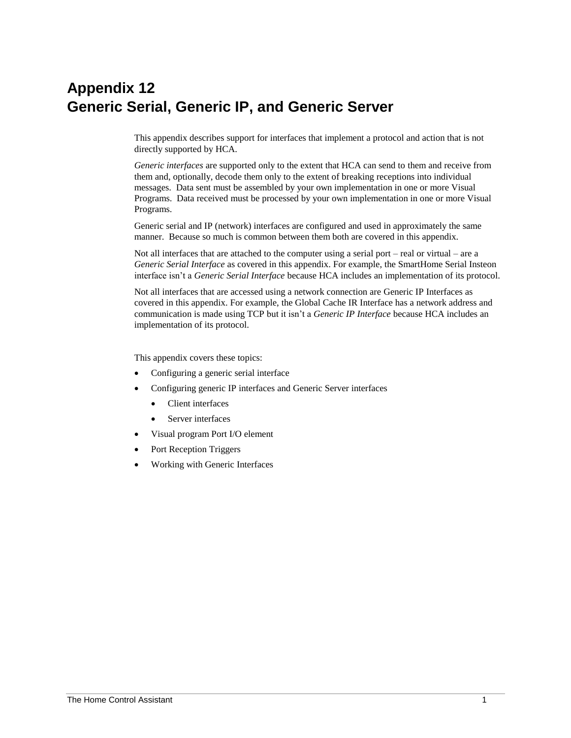# **Appendix 12 Generic Serial, Generic IP, and Generic Server**

This appendix describes support for interfaces that implement a protocol and action that is not directly supported by HCA.

*Generic interfaces* are supported only to the extent that HCA can send to them and receive from them and, optionally, decode them only to the extent of breaking receptions into individual messages. Data sent must be assembled by your own implementation in one or more Visual Programs. Data received must be processed by your own implementation in one or more Visual Programs.

Generic serial and IP (network) interfaces are configured and used in approximately the same manner. Because so much is common between them both are covered in this appendix.

Not all interfaces that are attached to the computer using a serial port – real or virtual – are a *Generic Serial Interface* as covered in this appendix. For example, the SmartHome Serial Insteon interface isn't a *Generic Serial Interface* because HCA includes an implementation of its protocol.

Not all interfaces that are accessed using a network connection are Generic IP Interfaces as covered in this appendix. For example, the Global Cache IR Interface has a network address and communication is made using TCP but it isn't a *Generic IP Interface* because HCA includes an implementation of its protocol.

This appendix covers these topics:

- Configuring a generic serial interface
- Configuring generic IP interfaces and Generic Server interfaces
	- Client interfaces
	- Server interfaces
- Visual program Port I/O element
- Port Reception Triggers
- Working with Generic Interfaces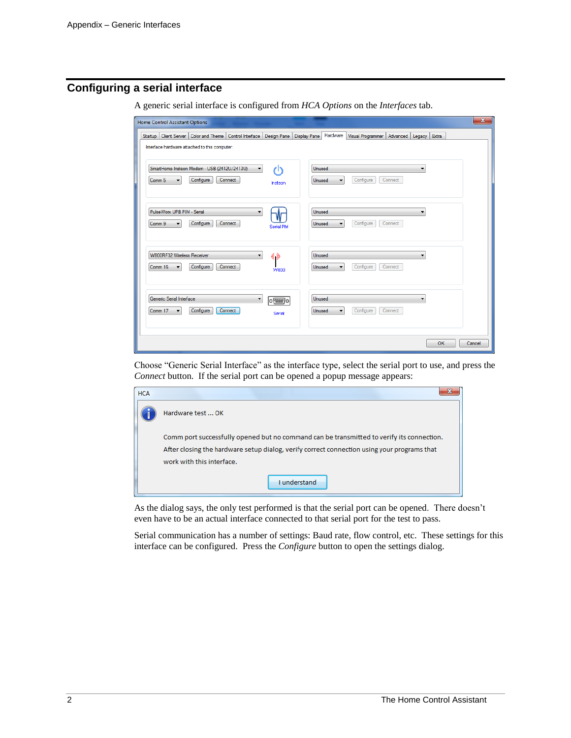# **Configuring a serial interface**

A generic serial interface is configured from *HCA Options* on the *Interfaces* tab.

| <b>Home Control Assistant Options</b>                                                                                                                                                                        | $\mathbf{x}$             |
|--------------------------------------------------------------------------------------------------------------------------------------------------------------------------------------------------------------|--------------------------|
| Hardware<br>Startup   Client Server   Color and Theme   Control Interface  <br>Design Pane<br><b>Display Pane</b><br>Visual Programmer<br>Advanced   Legacy<br>Interface hardware attached to this computer: | Extra                    |
| SmartHome Insteon Modem - USB (2412U/2413U)<br>Unused<br>r۱۱<br>۰<br>Configure<br>Connect<br>Configure<br>Comm 5<br>Connect<br>$\overline{\phantom{a}}$<br>Unused<br>▼<br>Insteon                            | $\overline{\phantom{0}}$ |
| PulseWorx UPB PIM - Serial<br>Unused<br>▼<br>Configure<br>Connect<br>Configure<br>Connect<br>Comm 9<br>Unused<br>$\overline{\phantom{a}}$<br>$\overline{\phantom{a}}$<br>Serial PIM                          | ▼                        |
| <b>W800RF32 Wireless Receiver</b><br>«»<br>Unused<br>▼<br>Configure<br>Connect<br>Configure<br>Connect<br>Comm 16<br>Unused<br>۰<br>۰<br><b>W800</b>                                                         | $\overline{\phantom{a}}$ |
| Generic Serial Interface<br><b>Unused</b><br>▼<br>$O$ $\left[\frac{1}{2} \right]$<br>Configure<br>Connect<br>Configure<br>Connect<br>Comm 17<br>Unused<br>▼<br>۰<br>Serial                                   | ▼                        |
|                                                                                                                                                                                                              | <b>OK</b><br>Cancel      |

Choose "Generic Serial Interface" as the interface type, select the serial port to use, and press the *Connect* button. If the serial port can be opened a popup message appears:

| <b>HCA</b> |                                                                                                                                                                                                                       |
|------------|-----------------------------------------------------------------------------------------------------------------------------------------------------------------------------------------------------------------------|
|            | Hardware test  OK                                                                                                                                                                                                     |
|            | Comm port successfully opened but no command can be transmitted to verify its connection.<br>After closing the hardware setup dialog, verify correct connection using your programs that<br>work with this interface. |
|            | <b>Lunderstand</b>                                                                                                                                                                                                    |

As the dialog says, the only test performed is that the serial port can be opened. There doesn't even have to be an actual interface connected to that serial port for the test to pass.

Serial communication has a number of settings: Baud rate, flow control, etc. These settings for this interface can be configured. Press the *Configure* button to open the settings dialog.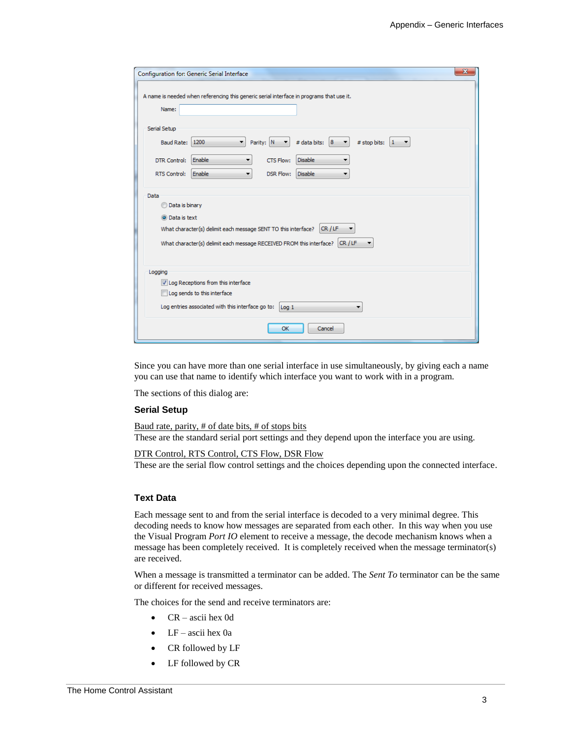| A name is needed when referencing this generic serial interface in programs that use it.                                          |  |  |  |
|-----------------------------------------------------------------------------------------------------------------------------------|--|--|--|
| Name:                                                                                                                             |  |  |  |
| Serial Setup                                                                                                                      |  |  |  |
| Parity: N<br>1200<br>$\blacktriangledown$<br># data bits: 8<br>Baud Rate:<br># stop bits:<br>$1 - 7$<br>$\blacktriangledown$<br>▼ |  |  |  |
| <b>Disable</b><br>Enable<br>CTS Flow:<br>DTR Control:<br>▼                                                                        |  |  |  |
| Enable<br><b>Disable</b><br><b>RTS Control:</b><br><b>DSR Flow:</b><br>▼                                                          |  |  |  |
| Data                                                                                                                              |  |  |  |
| <b>Data is binary</b>                                                                                                             |  |  |  |
| O Data is text                                                                                                                    |  |  |  |
| CR/LF<br>What character(s) delimit each message SENT TO this interface?                                                           |  |  |  |
| What character(s) delimit each message RECEIVED FROM this interface? CR / LF                                                      |  |  |  |
|                                                                                                                                   |  |  |  |
| Logging                                                                                                                           |  |  |  |
| V Log Receptions from this interface                                                                                              |  |  |  |
| Log sends to this interface                                                                                                       |  |  |  |
| Log entries associated with this interface go to:<br>Log <sub>1</sub><br>$\mathbf{r}$                                             |  |  |  |
| OK<br>Cancel                                                                                                                      |  |  |  |

Since you can have more than one serial interface in use simultaneously, by giving each a name you can use that name to identify which interface you want to work with in a program.

The sections of this dialog are:

#### **Serial Setup**

Baud rate, parity, # of date bits, # of stops bits These are the standard serial port settings and they depend upon the interface you are using.

DTR Control, RTS Control, CTS Flow, DSR Flow

These are the serial flow control settings and the choices depending upon the connected interface.

#### **Text Data**

Each message sent to and from the serial interface is decoded to a very minimal degree. This decoding needs to know how messages are separated from each other. In this way when you use the Visual Program *Port IO* element to receive a message, the decode mechanism knows when a message has been completely received. It is completely received when the message terminator(s) are received.

When a message is transmitted a terminator can be added. The *Sent To* terminator can be the same or different for received messages.

The choices for the send and receive terminators are:

- CR ascii hex 0d
- LF ascii hex 0a
- CR followed by LF
- LF followed by CR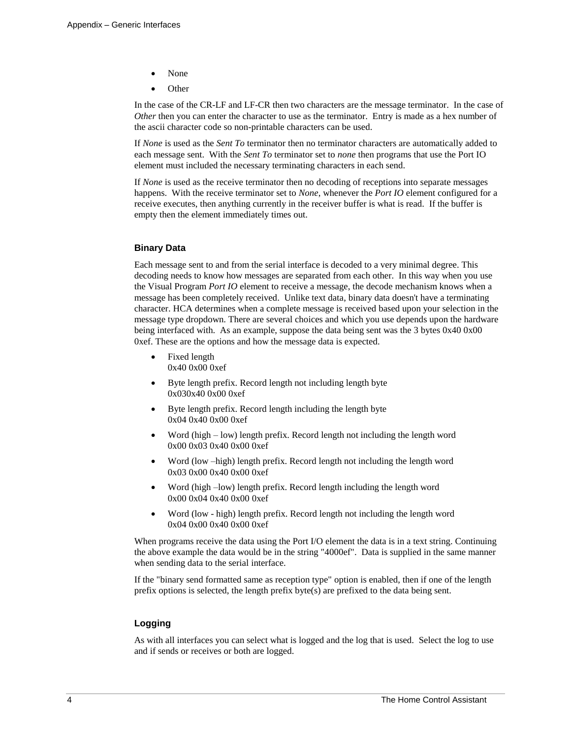- None
- Other

In the case of the CR-LF and LF-CR then two characters are the message terminator. In the case of *Other* then you can enter the character to use as the terminator. Entry is made as a hex number of the ascii character code so non-printable characters can be used.

If *None* is used as the *Sent To* terminator then no terminator characters are automatically added to each message sent. With the *Sent To* terminator set to *none* then programs that use the Port IO element must included the necessary terminating characters in each send.

If *None* is used as the receive terminator then no decoding of receptions into separate messages happens. With the receive terminator set to *None*, whenever the *Port IO* element configured for a receive executes, then anything currently in the receiver buffer is what is read. If the buffer is empty then the element immediately times out.

#### **Binary Data**

Each message sent to and from the serial interface is decoded to a very minimal degree. This decoding needs to know how messages are separated from each other. In this way when you use the Visual Program *Port IO* element to receive a message, the decode mechanism knows when a message has been completely received. Unlike text data, binary data doesn't have a terminating character. HCA determines when a complete message is received based upon your selection in the message type dropdown. There are several choices and which you use depends upon the hardware being interfaced with. As an example, suppose the data being sent was the 3 bytes 0x40 0x00 0xef. These are the options and how the message data is expected.

- Fixed length 0x40 0x00 0xef
- Byte length prefix. Record length not including length byte 0x030x40 0x00 0xef
- Byte length prefix. Record length including the length byte 0x04 0x40 0x00 0xef
- Word (high low) length prefix. Record length not including the length word 0x00 0x03 0x40 0x00 0xef
- Word (low –high) length prefix. Record length not including the length word 0x03 0x00 0x40 0x00 0xef
- Word (high –low) length prefix. Record length including the length word 0x00 0x04 0x40 0x00 0xef
- Word (low high) length prefix. Record length not including the length word 0x04 0x00 0x40 0x00 0xef

When programs receive the data using the Port I/O element the data is in a text string. Continuing the above example the data would be in the string "4000ef". Data is supplied in the same manner when sending data to the serial interface.

If the "binary send formatted same as reception type" option is enabled, then if one of the length prefix options is selected, the length prefix byte(s) are prefixed to the data being sent.

#### **Logging**

As with all interfaces you can select what is logged and the log that is used. Select the log to use and if sends or receives or both are logged.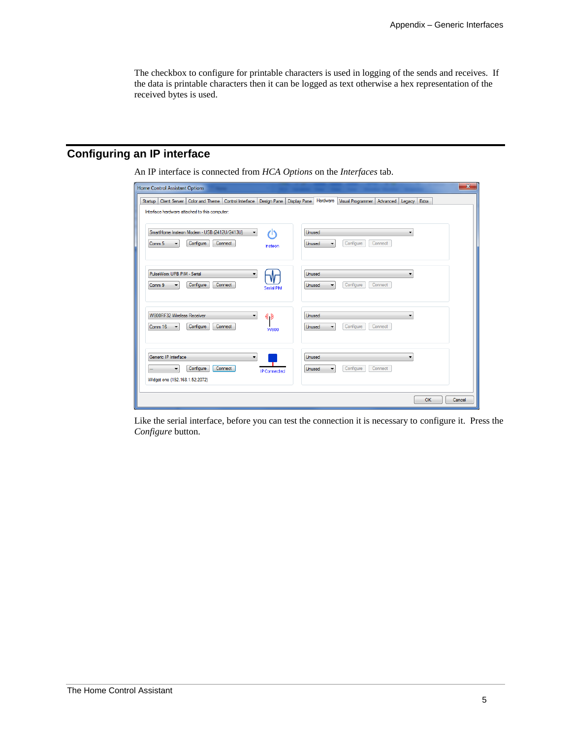The checkbox to configure for printable characters is used in logging of the sends and receives. If the data is printable characters then it can be logged as text otherwise a hex representation of the received bytes is used.

# **Configuring an IP interface**

An IP interface is connected from *HCA Options* on the *Interfaces* tab.

| Home Control Assistant Options                                                                                                     | $\mathbf{x}$                                                              |
|------------------------------------------------------------------------------------------------------------------------------------|---------------------------------------------------------------------------|
| Client Server   Color and Theme   Control Interface   Design Pane   Display Pane  <br><b>Startup</b>                               | Hardware<br>Visual Programmer<br>Advanced Legacy<br>Extra                 |
| Interface hardware attached to this computer:                                                                                      |                                                                           |
| SmartHome Insteon Modem - USB (2412U/2413U)<br>11<br>$\blacktriangledown$<br>Configure<br>Comm 5<br>Connect<br>۰<br>Insteon        | Unused<br>-<br>Configure<br>Connect<br>Unused<br>$\overline{\phantom{a}}$ |
| PulseWorx UPB PIM - Serial<br>Configure<br>Connect<br>Comm 9<br>Serial PIM                                                         | Unused<br>Configure<br>Connect<br>Unused<br>$\overline{\phantom{a}}$      |
| W800RF32 Wireless Receiver<br>(6 d)<br>$\overline{\phantom{a}}$<br>Configure<br>Connect<br>Comm 16<br><b>W800</b>                  | Unused<br>$\overline{\phantom{a}}$<br>Configure<br>Connect<br>Unused<br>۰ |
| Generic IP Interface<br>$\blacktriangledown$<br>Configure<br>Connect<br>٠<br><b>IP Connected</b><br>Widget one (192.168.1.52:2072) | <b>Unused</b><br>Configure<br>Connect<br>Unused<br>٠                      |
|                                                                                                                                    | OK<br>Cancel                                                              |

Like the serial interface, before you can test the connection it is necessary to configure it. Press the *Configure* button.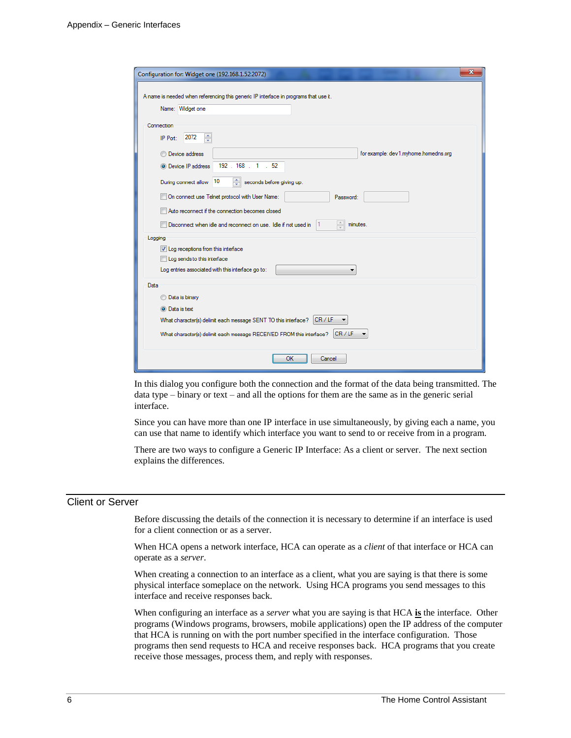| $\mathbf{x}$<br>Configuration for: Widget one (192.168.1.52:2072)                           |
|---------------------------------------------------------------------------------------------|
| A name is needed when referencing this generic IP interface in programs that use it.        |
| Name: Widget one                                                                            |
|                                                                                             |
| Connection                                                                                  |
| ÷<br>2072<br>IP Port:                                                                       |
| for example: dev1.myhome.homedns.org<br><b>Device address</b>                               |
| 192 . 168 . 1 . 52<br><b>O</b> Device IP address                                            |
| ÷<br>10<br>seconds before giving up.<br>During connect allow                                |
| On connect use Telnet protocol with User Name:<br>Password:                                 |
| Auto reconnect if the connection becomes closed                                             |
| $\frac{1}{x}$<br>Disconnect when idle and reconnect on use. Idle if not used in<br>minutes. |
| Logging                                                                                     |
| V Log receptions from this interface<br>Log sends to this interface                         |
| Log entries associated with this interface go to:                                           |
| Data                                                                                        |
| <b>Data is binary</b>                                                                       |
| <b>O</b> Data is text                                                                       |
| CR/LF<br>What character(s) delimit each message SENT TO this interface?                     |
| What character(s) delimit each message RECEIVED FROM this interface? CR / LF                |
|                                                                                             |
| OK<br>Cancel                                                                                |

In this dialog you configure both the connection and the format of the data being transmitted. The data type – binary or text – and all the options for them are the same as in the generic serial interface.

Since you can have more than one IP interface in use simultaneously, by giving each a name, you can use that name to identify which interface you want to send to or receive from in a program.

There are two ways to configure a Generic IP Interface: As a client or server. The next section explains the differences.

#### Client or Server

Before discussing the details of the connection it is necessary to determine if an interface is used for a client connection or as a server.

When HCA opens a network interface, HCA can operate as a *client* of that interface or HCA can operate as a *server*.

When creating a connection to an interface as a client, what you are saying is that there is some physical interface someplace on the network. Using HCA programs you send messages to this interface and receive responses back.

When configuring an interface as a *server* what you are saying is that HCA **is** the interface. Other programs (Windows programs, browsers, mobile applications) open the IP address of the computer that HCA is running on with the port number specified in the interface configuration. Those programs then send requests to HCA and receive responses back. HCA programs that you create receive those messages, process them, and reply with responses.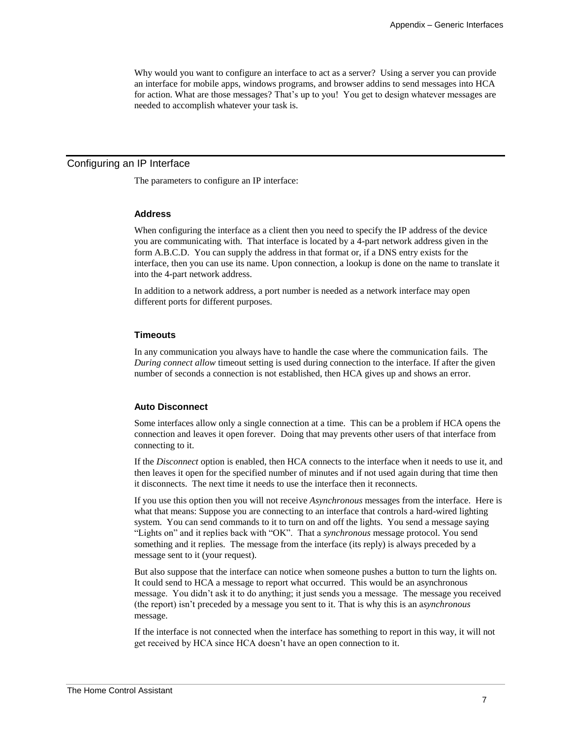Why would you want to configure an interface to act as a server? Using a server you can provide an interface for mobile apps, windows programs, and browser addins to send messages into HCA for action. What are those messages? That's up to you! You get to design whatever messages are needed to accomplish whatever your task is.

### Configuring an IP Interface

The parameters to configure an IP interface:

#### **Address**

When configuring the interface as a client then you need to specify the IP address of the device you are communicating with. That interface is located by a 4-part network address given in the form A.B.C.D. You can supply the address in that format or, if a DNS entry exists for the interface, then you can use its name. Upon connection, a lookup is done on the name to translate it into the 4-part network address.

In addition to a network address, a port number is needed as a network interface may open different ports for different purposes.

#### **Timeouts**

In any communication you always have to handle the case where the communication fails. The *During connect allow* timeout setting is used during connection to the interface. If after the given number of seconds a connection is not established, then HCA gives up and shows an error.

#### **Auto Disconnect**

Some interfaces allow only a single connection at a time. This can be a problem if HCA opens the connection and leaves it open forever. Doing that may prevents other users of that interface from connecting to it.

If the *Disconnect* option is enabled, then HCA connects to the interface when it needs to use it, and then leaves it open for the specified number of minutes and if not used again during that time then it disconnects. The next time it needs to use the interface then it reconnects.

If you use this option then you will not receive *Asynchronous* messages from the interface. Here is what that means: Suppose you are connecting to an interface that controls a hard-wired lighting system. You can send commands to it to turn on and off the lights. You send a message saying "Lights on" and it replies back with "OK". That a *synchronous* message protocol. You send something and it replies. The message from the interface (its reply) is always preceded by a message sent to it (your request).

But also suppose that the interface can notice when someone pushes a button to turn the lights on. It could send to HCA a message to report what occurred. This would be an asynchronous message. You didn't ask it to do anything; it just sends you a message. The message you received (the report) isn't preceded by a message you sent to it. That is why this is an a*synchronous* message.

If the interface is not connected when the interface has something to report in this way, it will not get received by HCA since HCA doesn't have an open connection to it.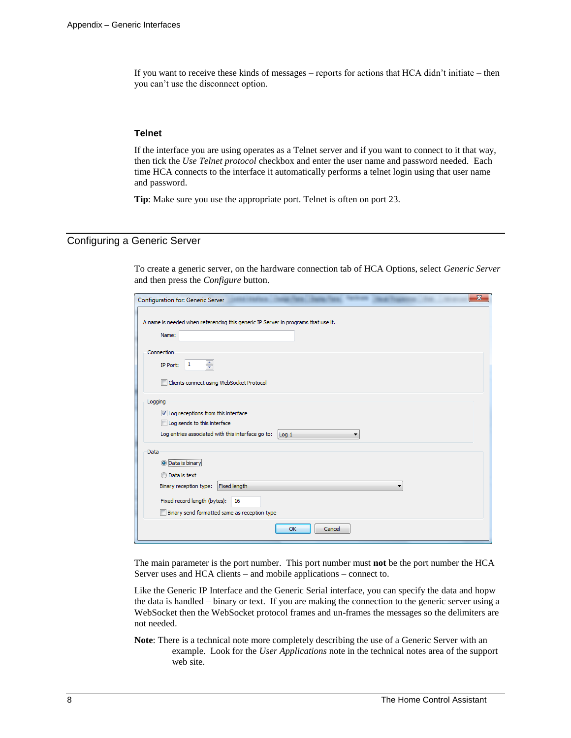If you want to receive these kinds of messages – reports for actions that HCA didn't initiate – then you can't use the disconnect option.

#### **Telnet**

If the interface you are using operates as a Telnet server and if you want to connect to it that way, then tick the *Use Telnet protocol* checkbox and enter the user name and password needed. Each time HCA connects to the interface it automatically performs a telnet login using that user name and password.

**Tip**: Make sure you use the appropriate port. Telnet is often on port 23.

### Configuring a Generic Server

To create a generic server, on the hardware connection tab of HCA Options, select *Generic Server* and then press the *Configure* button.

| $\mathbf{x}$<br>Configuration for: Generic Server                                                                                                                                        |
|------------------------------------------------------------------------------------------------------------------------------------------------------------------------------------------|
| A name is needed when referencing this generic IP Server in programs that use it.<br>Name:                                                                                               |
| Connection<br>÷<br>$\mathbf{1}$<br>IP Port:<br>Clients connect using WebSocket Protocol                                                                                                  |
| Logging<br>U Log receptions from this interface<br>Log sends to this interface<br>Log entries associated with this interface go to:<br>$\log 1$<br>▼                                     |
| Data<br><b>O</b> Data is binary<br><b>O</b> Data is text<br>Fixed length<br>Binary reception type:<br>Fixed record length (bytes):<br>16<br>Binary send formatted same as reception type |
| OK<br>Cancel                                                                                                                                                                             |

The main parameter is the port number. This port number must **not** be the port number the HCA Server uses and HCA clients – and mobile applications – connect to.

Like the Generic IP Interface and the Generic Serial interface, you can specify the data and hopw the data is handled – binary or text. If you are making the connection to the generic server using a WebSocket then the WebSocket protocol frames and un-frames the messages so the delimiters are not needed.

**Note**: There is a technical note more completely describing the use of a Generic Server with an example. Look for the *User Applications* note in the technical notes area of the support web site.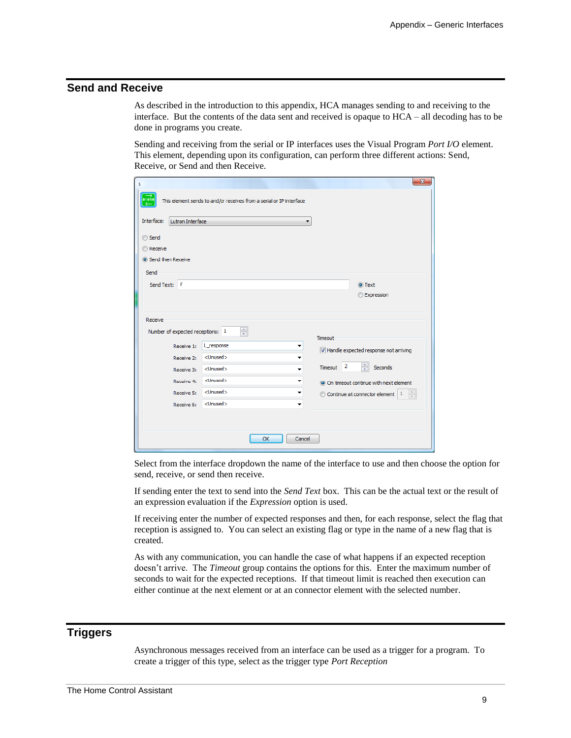## **Send and Receive**

As described in the introduction to this appendix, HCA manages sending to and receiving to the interface. But the contents of the data sent and received is opaque to HCA – all decoding has to be done in programs you create.

Sending and receiving from the serial or IP interfaces uses the Visual Program *Port I/O* element. This element, depending upon its configuration, can perform three different actions: Send, Receive, or Send and then Receive.

| s                                |                                                                     |                      | $\mathbf{x}$                                                     |
|----------------------------------|---------------------------------------------------------------------|----------------------|------------------------------------------------------------------|
| 01010                            | This element sends to and/or receives from a serial or IP interface |                      |                                                                  |
| Lutron Interface<br>Interface:   |                                                                     |                      |                                                                  |
| ◯ Send                           |                                                                     |                      |                                                                  |
| <b>Receive</b>                   |                                                                     |                      |                                                                  |
| Send then Receive                |                                                                     |                      |                                                                  |
| Send                             |                                                                     |                      |                                                                  |
| Send Text: V                     |                                                                     |                      | O Text                                                           |
|                                  |                                                                     |                      | <b>Expression</b>                                                |
|                                  |                                                                     |                      |                                                                  |
| Receive                          |                                                                     |                      |                                                                  |
| Number of expected receptions: 1 | ÷                                                                   | Timeout              |                                                                  |
| Receive 1:                       | L_response<br>▼                                                     |                      | V Handle expected response not arriving                          |
| Receive 2:                       | <unused><br/>▼</unused>                                             |                      |                                                                  |
| Receive 3:                       | <unused><br/>٠</unused>                                             | $\vert$ 2<br>Timeout | ÷<br>Seconds                                                     |
| Receive 4:                       | <unused><br/>▼</unused>                                             |                      | O On timeout continue with next element                          |
| Receive 5:                       | <unused><br/>۰</unused>                                             |                      | $\frac{1}{x}$<br>$\odot$ Continue at connector element $\vert$ 1 |
| Receive 6:                       | <unused><br/>▼</unused>                                             |                      |                                                                  |
|                                  |                                                                     |                      |                                                                  |
|                                  |                                                                     |                      |                                                                  |
|                                  | OK                                                                  | Cancel               |                                                                  |

Select from the interface dropdown the name of the interface to use and then choose the option for send, receive, or send then receive.

If sending enter the text to send into the *Send Text* box. This can be the actual text or the result of an expression evaluation if the *Expression* option is used.

If receiving enter the number of expected responses and then, for each response, select the flag that reception is assigned to. You can select an existing flag or type in the name of a new flag that is created.

As with any communication, you can handle the case of what happens if an expected reception doesn't arrive. The *Timeout* group contains the options for this. Enter the maximum number of seconds to wait for the expected receptions. If that timeout limit is reached then execution can either continue at the next element or at an connector element with the selected number.

# **Triggers**

Asynchronous messages received from an interface can be used as a trigger for a program. To create a trigger of this type, select as the trigger type *Port Reception*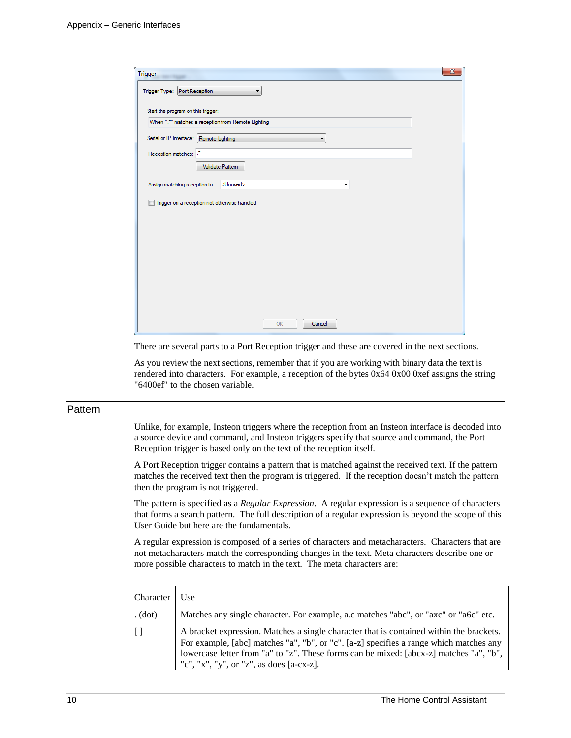| $\mathbf{x}$<br>Trigger                                   |  |
|-----------------------------------------------------------|--|
| Trigger Type: Port Reception<br>▼                         |  |
| Start the program on this trigger:                        |  |
| When ".*" matches a reception from Remote Lighting        |  |
| Serial or IP Interface: Remote Lighting<br>▼              |  |
| Reception matches:                                        |  |
| Validate Pattem                                           |  |
| <unused><br/>Assign matching reception to:<br/>۰</unused> |  |
| Trigger on a reception not otherwise handled              |  |
|                                                           |  |
|                                                           |  |
|                                                           |  |
|                                                           |  |
|                                                           |  |
|                                                           |  |
|                                                           |  |
| OK<br>Cancel                                              |  |

There are several parts to a Port Reception trigger and these are covered in the next sections.

As you review the next sections, remember that if you are working with binary data the text is rendered into characters. For example, a reception of the bytes 0x64 0x00 0xef assigns the string "6400ef" to the chosen variable.

#### **Pattern**

Unlike, for example, Insteon triggers where the reception from an Insteon interface is decoded into a source device and command, and Insteon triggers specify that source and command, the Port Reception trigger is based only on the text of the reception itself.

A Port Reception trigger contains a pattern that is matched against the received text. If the pattern matches the received text then the program is triggered. If the reception doesn't match the pattern then the program is not triggered.

The pattern is specified as a *Regular Expression*. A regular expression is a sequence of characters that forms a search pattern. The full description of a regular expression is beyond the scope of this User Guide but here are the fundamentals.

A regular expression is composed of a series of characters and metacharacters. Characters that are not metacharacters match the corresponding changes in the text. Meta characters describe one or more possible characters to match in the text. The meta characters are:

| Character | Jse.                                                                                                                                                                                                                                                                                                                    |
|-----------|-------------------------------------------------------------------------------------------------------------------------------------------------------------------------------------------------------------------------------------------------------------------------------------------------------------------------|
| (dot)     | Matches any single character. For example, a.c matches "abc", or "axc" or "a6c" etc.                                                                                                                                                                                                                                    |
|           | A bracket expression. Matches a single character that is contained within the brackets.<br>For example, [abc] matches "a", "b", or "c". [a-z] specifies a range which matches any<br>lowercase letter from "a" to "z". These forms can be mixed: [abcx-z] matches "a", "b",<br>"c", "x", "y", or "z", as does [a-cx-z]. |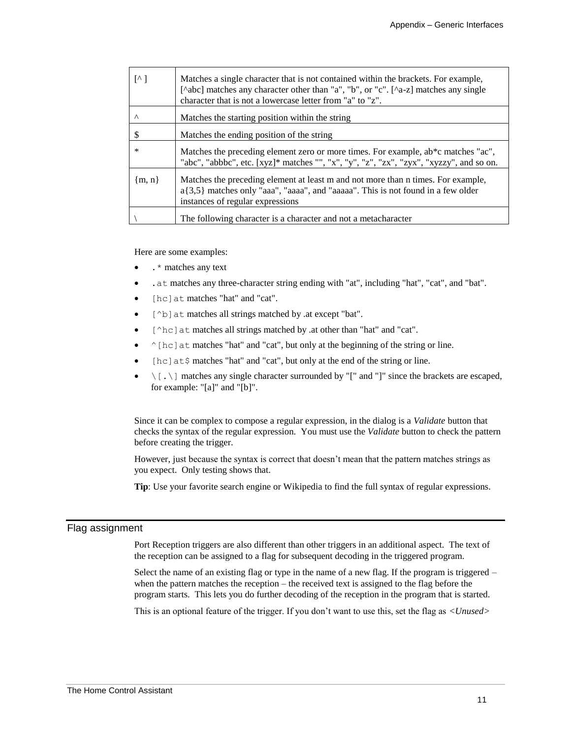| $\lceil \wedge \rceil$ | Matches a single character that is not contained within the brackets. For example,<br>[^abc] matches any character other than "a", "b", or "c". [^a-z] matches any single<br>character that is not a lowercase letter from "a" to "z". |
|------------------------|----------------------------------------------------------------------------------------------------------------------------------------------------------------------------------------------------------------------------------------|
| $\wedge$               | Matches the starting position within the string                                                                                                                                                                                        |
| \$                     | Matches the ending position of the string                                                                                                                                                                                              |
| ∗                      | Matches the preceding element zero or more times. For example, ab*c matches "ac",<br>"abc", "abbbc", etc. [xyz]* matches "", "x", "y", "z", "zx", "zyx", "xyzzy", and so on.                                                           |
| ${m, n}$               | Matches the preceding element at least m and not more than n times. For example,<br>$a\{3,5\}$ matches only "aaa", "aaaa", and "aaaaa". This is not found in a few older<br>instances of regular expressions                           |
|                        | The following character is a character and not a metacharacter                                                                                                                                                                         |

Here are some examples:

- .\* matches any text
- .at matches any three-character string ending with "at", including "hat", "cat", and "bat".
- [hc]at matches "hat" and "cat".
- [^b] at matches all strings matched by .at except "bat".
- [^hc]at matches all strings matched by .at other than "hat" and "cat".
- $\hat{\ }$  [hc] at matches "hat" and "cat", but only at the beginning of the string or line.
- $[hc]$  at  $\frac{1}{2}$  matches "hat" and "cat", but only at the end of the string or line.
- $\setminus$  [...) matches any single character surrounded by "[" and "]" since the brackets are escaped, for example: "[a]" and "[b]".

Since it can be complex to compose a regular expression, in the dialog is a *Validate* button that checks the syntax of the regular expression. You must use the *Validate* button to check the pattern before creating the trigger.

However, just because the syntax is correct that doesn't mean that the pattern matches strings as you expect. Only testing shows that.

**Tip**: Use your favorite search engine or Wikipedia to find the full syntax of regular expressions.

#### Flag assignment

Port Reception triggers are also different than other triggers in an additional aspect. The text of the reception can be assigned to a flag for subsequent decoding in the triggered program.

Select the name of an existing flag or type in the name of a new flag. If the program is triggered – when the pattern matches the reception – the received text is assigned to the flag before the program starts. This lets you do further decoding of the reception in the program that is started.

This is an optional feature of the trigger. If you don't want to use this, set the flag as *<Unused>*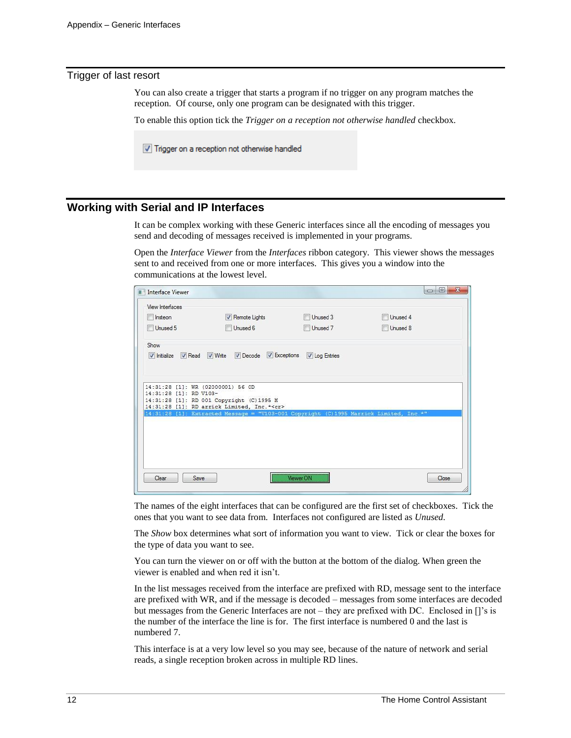#### Trigger of last resort

You can also create a trigger that starts a program if no trigger on any program matches the reception. Of course, only one program can be designated with this trigger.

To enable this option tick the *Trigger on a reception not otherwise handled* checkbox.

Trigger on a reception not otherwise handled

# **Working with Serial and IP Interfaces**

It can be complex working with these Generic interfaces since all the encoding of messages you send and decoding of messages received is implemented in your programs.

Open the *Interface Viewer* from the *Interfaces* ribbon category. This viewer shows the messages sent to and received from one or more interfaces. This gives you a window into the communications at the lowest level.

| View Interfaces        |                                                                                       |               |          |
|------------------------|---------------------------------------------------------------------------------------|---------------|----------|
| Insteon                | Remote Lights                                                                         | Unused 3      | Unused 4 |
| Unused 5               | Unused 6                                                                              | Unused 7      | Unused 8 |
| Show                   |                                                                                       |               |          |
|                        | V Initialize V Read V Write V Decode V Exceptions                                     | V Log Entries |          |
|                        | 14:31:28 [1]: WR (02000001) 56 OD                                                     |               |          |
| 14:31:28 [1]: RD V103- |                                                                                       |               |          |
|                        | 14:31:28 [1]: RD 001 Copyright (C) 1995 M                                             |               |          |
|                        | 14:31:28 [1]: RD arrick Limited, Inc.* <cr></cr>                                      |               |          |
|                        | 14:31:28 [1]: Extracted Message = "V103-001 Copyright (C)1995 Marrick Limited, Inc.*" |               |          |
|                        |                                                                                       |               |          |
|                        |                                                                                       |               |          |
|                        |                                                                                       |               |          |
|                        |                                                                                       |               |          |
|                        |                                                                                       |               |          |
|                        |                                                                                       |               |          |

The names of the eight interfaces that can be configured are the first set of checkboxes. Tick the ones that you want to see data from. Interfaces not configured are listed as *Unused.*

The *Show* box determines what sort of information you want to view. Tick or clear the boxes for the type of data you want to see.

You can turn the viewer on or off with the button at the bottom of the dialog. When green the viewer is enabled and when red it isn't.

In the list messages received from the interface are prefixed with RD, message sent to the interface are prefixed with WR, and if the message is decoded – messages from some interfaces are decoded but messages from the Generic Interfaces are not – they are prefixed with DC. Enclosed in []'s is the number of the interface the line is for. The first interface is numbered 0 and the last is numbered 7.

This interface is at a very low level so you may see, because of the nature of network and serial reads, a single reception broken across in multiple RD lines.